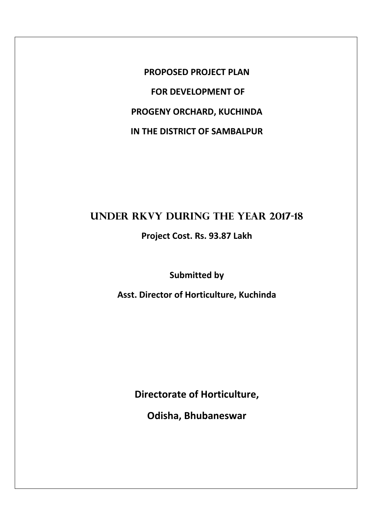**PROPOSED PROJECT PLAN FOR DEVELOPMENT OF PROGENY ORCHARD, KUCHINDA IN THE DISTRICT OF SAMBALPUR** 

# **UNDER RKVY DURING THE YEAR 2017-18**

**Project Cost. Rs. 93.87 Lakh**

**Submitted by** 

**Asst. Director of Horticulture, Kuchinda**

**Directorate of Horticulture,**

**Odisha, Bhubaneswar**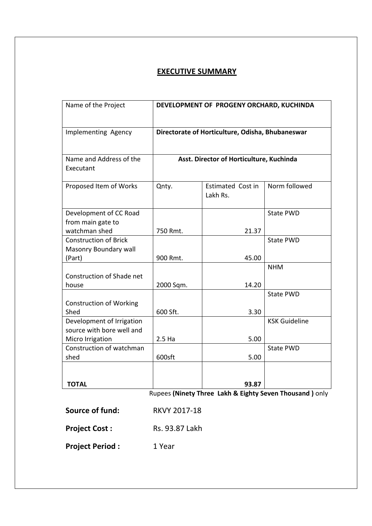# **EXECUTIVE SUMMARY**

| Name of the Project                                    | DEVELOPMENT OF PROGENY ORCHARD, KUCHINDA         |                                      |                      |  |  |
|--------------------------------------------------------|--------------------------------------------------|--------------------------------------|----------------------|--|--|
| Implementing Agency                                    | Directorate of Horticulture, Odisha, Bhubaneswar |                                      |                      |  |  |
| Name and Address of the<br>Executant                   | Asst. Director of Horticulture, Kuchinda         |                                      |                      |  |  |
| Proposed Item of Works                                 | Qnty.                                            | <b>Estimated Cost in</b><br>Lakh Rs. | Norm followed        |  |  |
| Development of CC Road<br>from main gate to            |                                                  |                                      | <b>State PWD</b>     |  |  |
| watchman shed                                          | 750 Rmt.                                         | 21.37                                |                      |  |  |
| <b>Construction of Brick</b>                           |                                                  |                                      | <b>State PWD</b>     |  |  |
| Masonry Boundary wall<br>(Part)                        | 900 Rmt.                                         | 45.00                                |                      |  |  |
|                                                        |                                                  |                                      | <b>NHM</b>           |  |  |
| Construction of Shade net<br>house                     | 2000 Sqm.                                        | 14.20                                |                      |  |  |
|                                                        |                                                  |                                      | <b>State PWD</b>     |  |  |
| <b>Construction of Working</b><br>Shed                 | 600 Sft.                                         | 3.30                                 |                      |  |  |
| Development of Irrigation<br>source with bore well and |                                                  |                                      | <b>KSK Guideline</b> |  |  |
| Micro Irrigation                                       | 2.5 <sub>Ha</sub>                                | 5.00                                 |                      |  |  |
| Construction of watchman<br>shed                       | 600sft                                           | 5.00                                 | <b>State PWD</b>     |  |  |
|                                                        |                                                  |                                      |                      |  |  |
| <b>TOTAL</b>                                           |                                                  | 93.87                                |                      |  |  |

Rupees **(Ninety Three Lakh & Eighty Seven Thousand )** only

| Source of fund:        | <b>RKVY 2017-18</b> |
|------------------------|---------------------|
| <b>Project Cost:</b>   | Rs. 93.87 Lakh      |
| <b>Project Period:</b> | 1 Year              |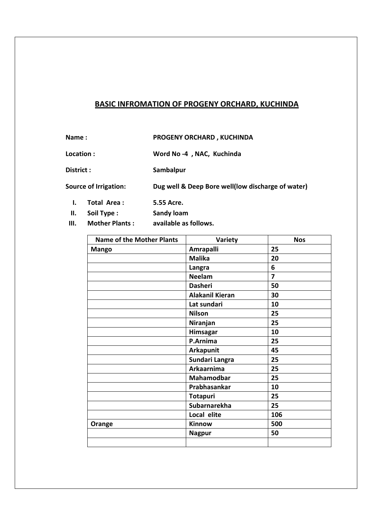## **BASIC INFROMATION OF PROGENY ORCHARD, KUCHINDA**

**Name : PROGENY ORCHARD , KUCHINDA**

**Location : Word No ‐4 , NAC, Kuchinda**

**District : Sambalpur**

**Source of Irrigation: Dug well & Deep Bore well(low discharge of water)**

- **I. Total Area : 5.55 Acre.**
- **II. Soil Type : Sandy loam**
- **III. Mother Plants : available as follows.**

| <b>Name of the Mother Plants</b> | Variety                | <b>Nos</b>     |
|----------------------------------|------------------------|----------------|
| <b>Mango</b>                     | <b>Amrapalli</b>       | 25             |
|                                  | <b>Malika</b>          | 20             |
|                                  | Langra                 | 6              |
|                                  | <b>Neelam</b>          | $\overline{7}$ |
|                                  | <b>Dasheri</b>         | 50             |
|                                  | <b>Alakanil Kieran</b> | 30             |
|                                  | Lat sundari            | 10             |
|                                  | <b>Nilson</b>          | 25             |
|                                  | Niranjan               | 25             |
|                                  | Himsagar               | 10             |
|                                  | P.Arnima               | 25             |
|                                  | <b>Arkapunit</b>       | 45             |
|                                  | Sundari Langra         | 25             |
|                                  | Arkaarnima             | 25             |
|                                  | Mahamodbar             | 25             |
|                                  | Prabhasankar           | 10             |
|                                  | <b>Totapuri</b>        | 25             |
|                                  | Subarnarekha           | 25             |
|                                  | Local elite            | 106            |
| Orange                           | Kinnow                 | 500            |
|                                  | <b>Nagpur</b>          | 50             |
|                                  |                        |                |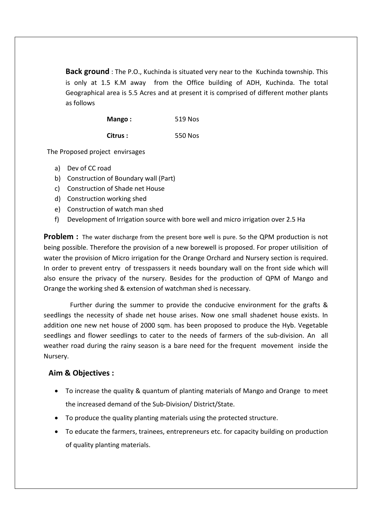**Back ground** : The P.O., Kuchinda is situated very near to the Kuchinda township. This is only at 1.5 K.M away from the Office building of ADH, Kuchinda. The total Geographical area is 5.5 Acres and at present it is comprised of different mother plants as follows

| Mango:   | 519 Nos |
|----------|---------|
| Citrus : | 550 Nos |

The Proposed project envirsages

- a) Dev of CC road
- b) Construction of Boundary wall (Part)
- c) Construction of Shade net House
- d) Construction working shed
- e) Construction of watch man shed
- f) Development of Irrigation source with bore well and micro irrigation over 2.5 Ha

**Problem** : The water discharge from the present bore well is pure. So the QPM production is not being possible. Therefore the provision of a new borewell is proposed. For proper utilisition of water the provision of Micro irrigation for the Orange Orchard and Nursery section is required. In order to prevent entry of tresspassers it needs boundary wall on the front side which will also ensure the privacy of the nursery. Besides for the production of QPM of Mango and Orange the working shed & extension of watchman shed is necessary.

 Further during the summer to provide the conducive environment for the grafts & seedlings the necessity of shade net house arises. Now one small shadenet house exists. In addition one new net house of 2000 sqm. has been proposed to produce the Hyb. Vegetable seedlings and flower seedlings to cater to the needs of farmers of the sub-division. An all weather road during the rainy season is a bare need for the frequent movement inside the Nursery.

### **Aim & Objectives :**

- To increase the quality & quantum of planting materials of Mango and Orange to meet the increased demand of the Sub‐Division/ District/State.
- To produce the quality planting materials using the protected structure.
- To educate the farmers, trainees, entrepreneurs etc. for capacity building on production of quality planting materials.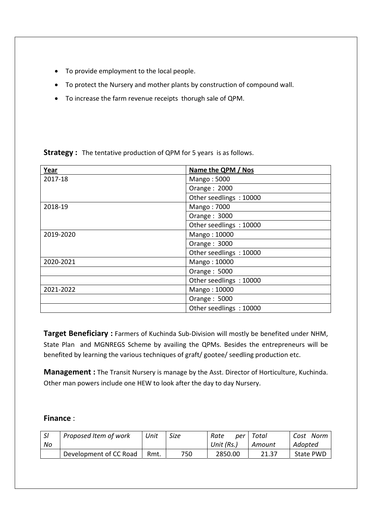- To provide employment to the local people.
- To protect the Nursery and mother plants by construction of compound wall.
- To increase the farm revenue receipts thorugh sale of QPM.

| Year      | Name the QPM / Nos     |  |  |
|-----------|------------------------|--|--|
| 2017-18   | Mango: 5000            |  |  |
|           | Orange: 2000           |  |  |
|           | Other seedlings: 10000 |  |  |
| 2018-19   | Mango: 7000            |  |  |
|           | Orange: 3000           |  |  |
|           | Other seedlings: 10000 |  |  |
| 2019-2020 | Mango: 10000           |  |  |
|           | Orange: 3000           |  |  |
|           | Other seedlings: 10000 |  |  |
| 2020-2021 | Mango: 10000           |  |  |
|           | Orange: 5000           |  |  |
|           | Other seedlings: 10000 |  |  |
| 2021-2022 | Mango: 10000           |  |  |
|           | Orange: 5000           |  |  |
|           | Other seedlings: 10000 |  |  |

**Strategy :** The tentative production of QPM for 5 years is as follows.

**Target Beneficiary :** Farmers of Kuchinda Sub‐Division will mostly be benefited under NHM, State Plan and MGNREGS Scheme by availing the QPMs. Besides the entrepreneurs will be benefited by learning the various techniques of graft/ gootee/ seedling production etc.

**Management :** The Transit Nursery is manage by the Asst. Director of Horticulture, Kuchinda. Other man powers include one HEW to look after the day to day Nursery.

### **Finance** :

| $\overline{\mathsf{S}}$ | Proposed Item of work  | Unit | Size | Rate<br>per | Total  | Norm<br>Cost     |
|-------------------------|------------------------|------|------|-------------|--------|------------------|
| No                      |                        |      |      | Unit (Rs.)  | Amount | Adopted          |
|                         | Development of CC Road | Rmt. | 750  | 2850.00     | 21.37  | <b>State PWD</b> |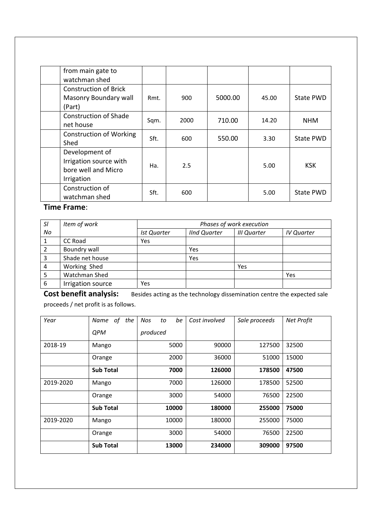| from main gate to<br>watchman shed                                            |      |      |         |       |            |
|-------------------------------------------------------------------------------|------|------|---------|-------|------------|
| <b>Construction of Brick</b><br>Masonry Boundary wall<br>(Part)               | Rmt. | 900  | 5000.00 | 45.00 | State PWD  |
| <b>Construction of Shade</b><br>net house                                     | Sqm. | 2000 | 710.00  | 14.20 | <b>NHM</b> |
| <b>Construction of Working</b><br>Shed                                        | Sft. | 600  | 550.00  | 3.30  | State PWD  |
| Development of<br>Irrigation source with<br>bore well and Micro<br>Irrigation | Ha.  | 2.5  |         | 5.00  | <b>KSK</b> |
| Construction of<br>watchman shed                                              | Sft. | 600  |         | 5.00  | State PWD  |

# **Time Frame**:

| SI | Item of work      | Phases of work execution |                     |                    |                   |  |
|----|-------------------|--------------------------|---------------------|--------------------|-------------------|--|
| No |                   | <b>Ist Quarter</b>       | <b>IInd Quarter</b> | <b>III Quarter</b> | <b>IV Quarter</b> |  |
|    | <b>CC Road</b>    | Yes                      |                     |                    |                   |  |
|    | Boundry wall      |                          | Yes                 |                    |                   |  |
|    | Shade net house   |                          | Yes                 |                    |                   |  |
| 4  | Working Shed      |                          |                     | Yes                |                   |  |
|    | Watchman Shed     |                          |                     |                    | Yes               |  |
| 6  | Irrigation source | Yes                      |                     |                    |                   |  |

**Cost benefit analysis:** Besides acting as the technology dissemination centre the expected sale proceeds / net profit is as follows.

| Year      | of the<br>Name   | be<br><b>Nos</b><br>to | Cost involved | Sale proceeds | Net Profit |
|-----------|------------------|------------------------|---------------|---------------|------------|
|           | <b>QPM</b>       | produced               |               |               |            |
| 2018-19   | Mango            | 5000                   | 90000         | 127500        | 32500      |
|           | Orange           | 2000                   | 36000         | 51000         | 15000      |
|           | <b>Sub Total</b> | 7000                   | 126000        | 178500        | 47500      |
| 2019-2020 | Mango            | 7000                   | 126000        | 178500        | 52500      |
|           | Orange           | 3000                   | 54000         | 76500         | 22500      |
|           | <b>Sub Total</b> | 10000                  | 180000        | 255000        | 75000      |
| 2019-2020 | Mango            | 10000                  | 180000        | 255000        | 75000      |
|           | Orange           | 3000                   | 54000         | 76500         | 22500      |
|           | <b>Sub Total</b> | 13000                  | 234000        | 309000        | 97500      |